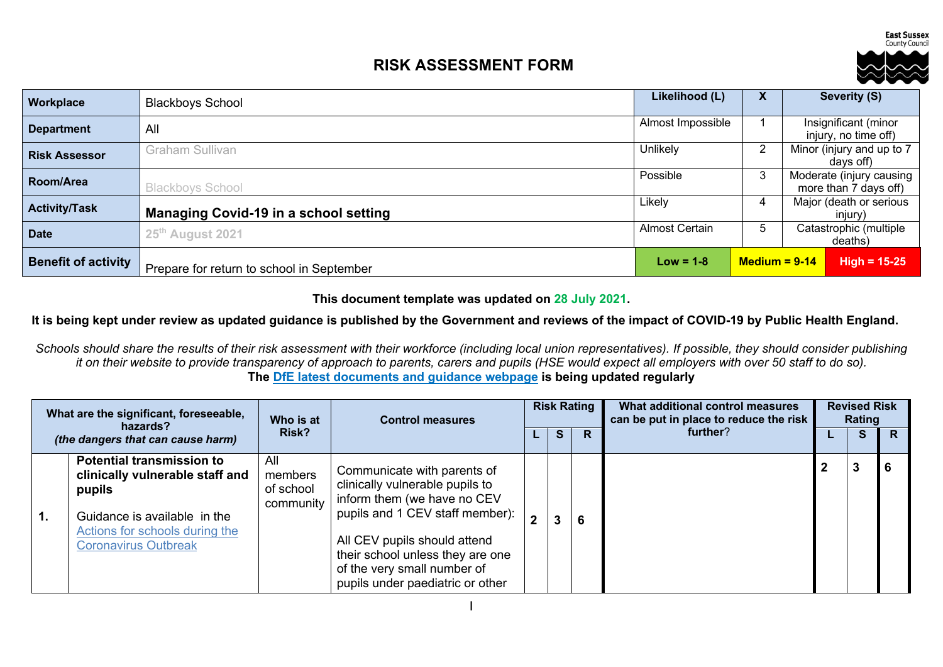**East Sussex** County Council

# **RISK ASSESSMENT FORM**



| <b>Workplace</b>           | <b>Blackboys School</b>                      | Likelihood (L)        | $\mathbf{v}$    | Severity (S)                                      |
|----------------------------|----------------------------------------------|-----------------------|-----------------|---------------------------------------------------|
| <b>Department</b>          | All                                          | Almost Impossible     |                 | Insignificant (minor<br>injury, no time off)      |
| <b>Risk Assessor</b>       | Graham Sullivan                              | Unlikely              | 2               | Minor (injury and up to 7<br>days off)            |
| Room/Area                  | <b>Blackboys School</b>                      | Possible              | 3               | Moderate (injury causing<br>more than 7 days off) |
| <b>Activity/Task</b>       | <b>Managing Covid-19 in a school setting</b> | Likely                | 4               | Major (death or serious<br>injury)                |
| <b>Date</b>                | 25 <sup>th</sup> August 2021                 | <b>Almost Certain</b> | 5               | Catastrophic (multiple<br>deaths)                 |
| <b>Benefit of activity</b> | Prepare for return to school in September    | $Low = 1-8$           | $Median = 9-14$ | $High = 15-25$                                    |

#### **This document template was updated on 28 July 2021.**

### **It is being kept under review as updated guidance is published by the Government and reviews of the impact of COVID-19 by Public Health England.**

*Schools should share the results of their risk assessment with their workforce (including local union representatives). If possible, they should consider publishing it on their website to provide transparency of approach to parents, carers and pupils (HSE would expect all employers with over 50 staff to do so).* **The DfE latest documents and guidance webpage is being updated regularly**

| What are the significant, foreseeable,<br>hazards? |                                                                                                                                                                                | Who is at                                | <b>Control measures</b>                                                                                                                                                                                                                                                 | <b>Risk Rating</b> |    | What additional control measures<br>can be put in place to reduce the risk |  | <b>Revised Risk</b><br>Rating |    |
|----------------------------------------------------|--------------------------------------------------------------------------------------------------------------------------------------------------------------------------------|------------------------------------------|-------------------------------------------------------------------------------------------------------------------------------------------------------------------------------------------------------------------------------------------------------------------------|--------------------|----|----------------------------------------------------------------------------|--|-------------------------------|----|
|                                                    | (the dangers that can cause harm)                                                                                                                                              | <b>Risk?</b>                             |                                                                                                                                                                                                                                                                         | S.                 | R  | further?                                                                   |  | <b>S</b>                      | R  |
| 1.                                                 | <b>Potential transmission to</b><br>clinically vulnerable staff and<br>pupils<br>Guidance is available in the<br>Actions for schools during the<br><b>Coronavirus Outbreak</b> | All<br>members<br>of school<br>community | Communicate with parents of<br>clinically vulnerable pupils to<br>inform them (we have no CEV<br>pupils and 1 CEV staff member):<br>All CEV pupils should attend<br>their school unless they are one<br>of the very small number of<br>pupils under paediatric or other |                    | -6 |                                                                            |  | 3                             | -6 |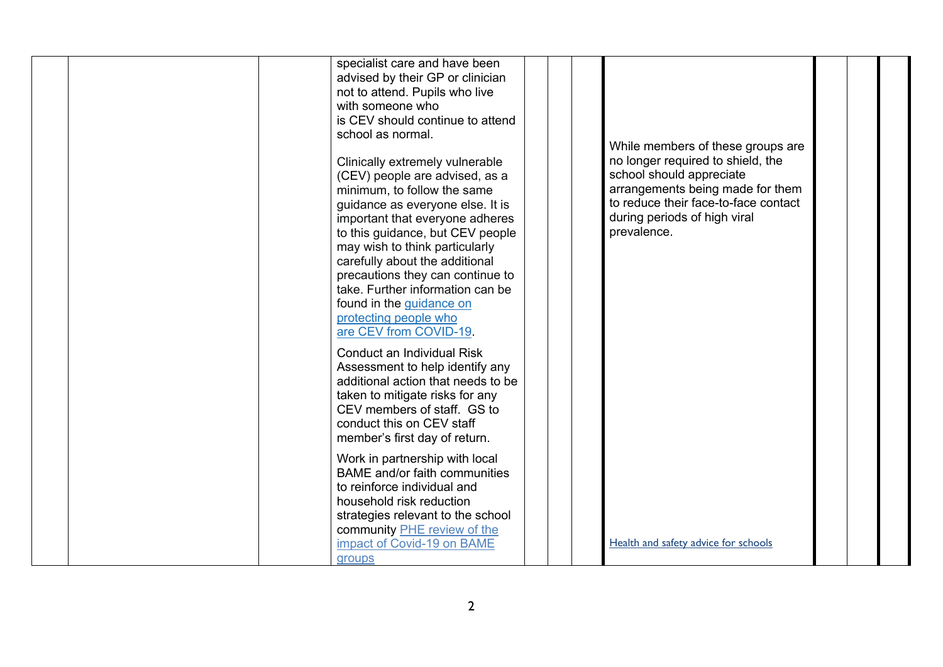| specialist care and have been        |                                      |  |
|--------------------------------------|--------------------------------------|--|
| advised by their GP or clinician     |                                      |  |
|                                      |                                      |  |
| not to attend. Pupils who live       |                                      |  |
| with someone who                     |                                      |  |
| is CEV should continue to attend     |                                      |  |
| school as normal.                    |                                      |  |
|                                      | While members of these groups are    |  |
| Clinically extremely vulnerable      | no longer required to shield, the    |  |
| (CEV) people are advised, as a       | school should appreciate             |  |
| minimum, to follow the same          | arrangements being made for them     |  |
| guidance as everyone else. It is     | to reduce their face-to-face contact |  |
| important that everyone adheres      | during periods of high viral         |  |
| to this guidance, but CEV people     | prevalence.                          |  |
| may wish to think particularly       |                                      |  |
| carefully about the additional       |                                      |  |
| precautions they can continue to     |                                      |  |
| take. Further information can be     |                                      |  |
|                                      |                                      |  |
| found in the guidance on             |                                      |  |
| protecting people who                |                                      |  |
| are CEV from COVID-19.               |                                      |  |
| Conduct an Individual Risk           |                                      |  |
| Assessment to help identify any      |                                      |  |
| additional action that needs to be   |                                      |  |
| taken to mitigate risks for any      |                                      |  |
| CEV members of staff. GS to          |                                      |  |
| conduct this on CEV staff            |                                      |  |
|                                      |                                      |  |
| member's first day of return.        |                                      |  |
| Work in partnership with local       |                                      |  |
| <b>BAME</b> and/or faith communities |                                      |  |
| to reinforce individual and          |                                      |  |
| household risk reduction             |                                      |  |
| strategies relevant to the school    |                                      |  |
| community PHE review of the          |                                      |  |
| impact of Covid-19 on BAME           | Health and safety advice for schools |  |
|                                      |                                      |  |
| groups                               |                                      |  |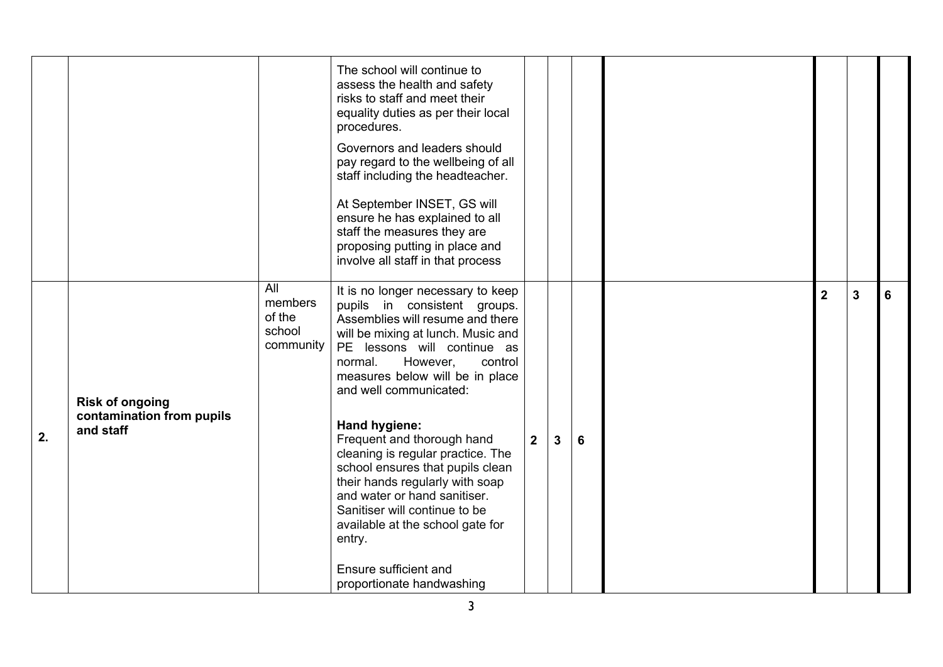|    |                                                                  |                                                 | The school will continue to<br>assess the health and safety<br>risks to staff and meet their<br>equality duties as per their local<br>procedures.<br>Governors and leaders should<br>pay regard to the wellbeing of all<br>staff including the headteacher.<br>At September INSET, GS will<br>ensure he has explained to all<br>staff the measures they are<br>proposing putting in place and<br>involve all staff in that process                                                                                                                                                                               |             |              |   |                |              |   |
|----|------------------------------------------------------------------|-------------------------------------------------|------------------------------------------------------------------------------------------------------------------------------------------------------------------------------------------------------------------------------------------------------------------------------------------------------------------------------------------------------------------------------------------------------------------------------------------------------------------------------------------------------------------------------------------------------------------------------------------------------------------|-------------|--------------|---|----------------|--------------|---|
| 2. | <b>Risk of ongoing</b><br>contamination from pupils<br>and staff | All<br>members<br>of the<br>school<br>community | It is no longer necessary to keep<br>pupils in consistent groups.<br>Assemblies will resume and there<br>will be mixing at lunch. Music and<br>PE lessons will continue as<br>normal.<br>However,<br>control<br>measures below will be in place<br>and well communicated:<br><b>Hand hygiene:</b><br>Frequent and thorough hand<br>cleaning is regular practice. The<br>school ensures that pupils clean<br>their hands regularly with soap<br>and water or hand sanitiser.<br>Sanitiser will continue to be<br>available at the school gate for<br>entry.<br>Ensure sufficient and<br>proportionate handwashing | $2^{\circ}$ | $\mathbf{3}$ | 6 | $\overline{2}$ | $\mathbf{3}$ | 6 |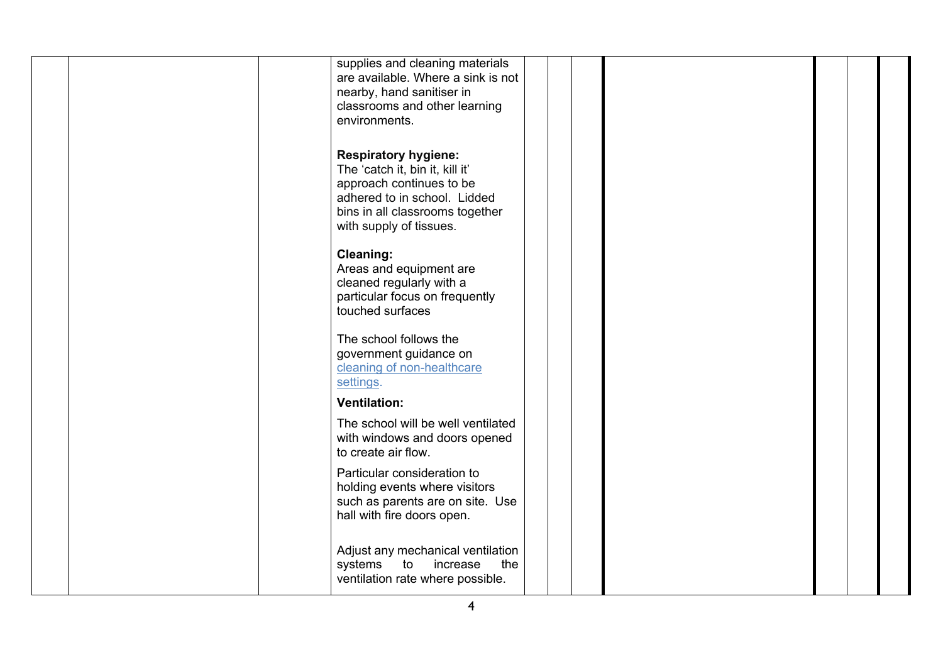| supplies and cleaning materials<br>are available. Where a sink is not<br>nearby, hand sanitiser in<br>classrooms and other learning<br>environments.                                     |  |  |  |
|------------------------------------------------------------------------------------------------------------------------------------------------------------------------------------------|--|--|--|
| <b>Respiratory hygiene:</b><br>The 'catch it, bin it, kill it'<br>approach continues to be<br>adhered to in school. Lidded<br>bins in all classrooms together<br>with supply of tissues. |  |  |  |
| <b>Cleaning:</b><br>Areas and equipment are<br>cleaned regularly with a<br>particular focus on frequently<br>touched surfaces                                                            |  |  |  |
| The school follows the<br>government guidance on<br>cleaning of non-healthcare<br>settings.                                                                                              |  |  |  |
| <b>Ventilation:</b><br>The school will be well ventilated<br>with windows and doors opened<br>to create air flow.                                                                        |  |  |  |
| Particular consideration to<br>holding events where visitors<br>such as parents are on site. Use<br>hall with fire doors open.                                                           |  |  |  |
| Adjust any mechanical ventilation<br>systems to<br>increase<br>the<br>ventilation rate where possible.                                                                                   |  |  |  |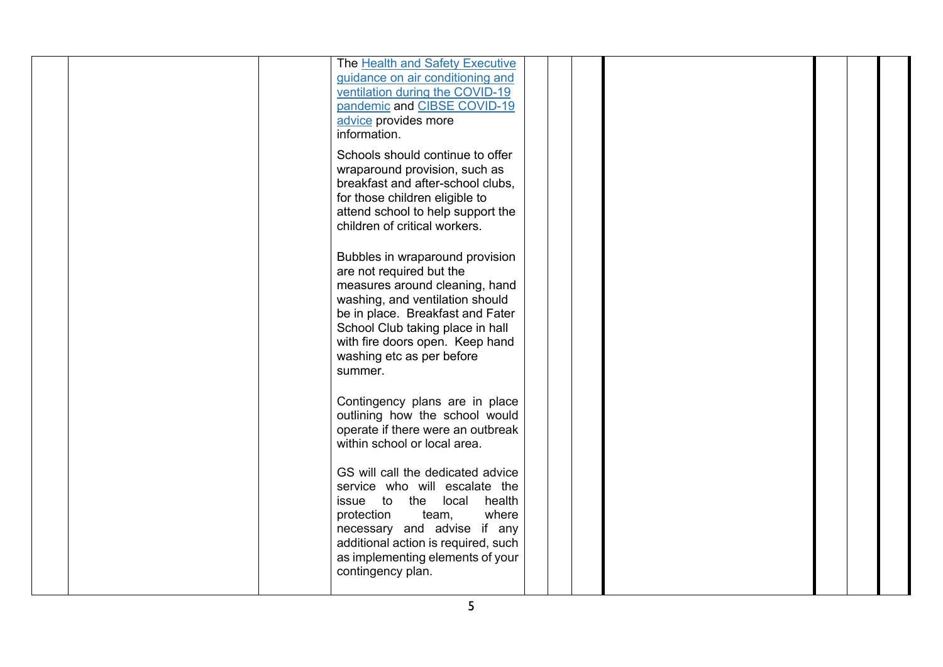|  | The Health and Safety Executive<br>guidance on air conditioning and<br>ventilation during the COVID-19<br>pandemic and CIBSE COVID-19<br>advice provides more<br>information.                                                                                                       |  |  |  |
|--|-------------------------------------------------------------------------------------------------------------------------------------------------------------------------------------------------------------------------------------------------------------------------------------|--|--|--|
|  | Schools should continue to offer<br>wraparound provision, such as<br>breakfast and after-school clubs,<br>for those children eligible to<br>attend school to help support the<br>children of critical workers.                                                                      |  |  |  |
|  | Bubbles in wraparound provision<br>are not required but the<br>measures around cleaning, hand<br>washing, and ventilation should<br>be in place. Breakfast and Fater<br>School Club taking place in hall<br>with fire doors open. Keep hand<br>washing etc as per before<br>summer. |  |  |  |
|  | Contingency plans are in place<br>outlining how the school would<br>operate if there were an outbreak<br>within school or local area.                                                                                                                                               |  |  |  |
|  | GS will call the dedicated advice<br>service who will escalate the<br>issue to the local<br>health<br>protection<br>where<br>team,<br>necessary and advise if any<br>additional action is required, such<br>as implementing elements of your<br>contingency plan.                   |  |  |  |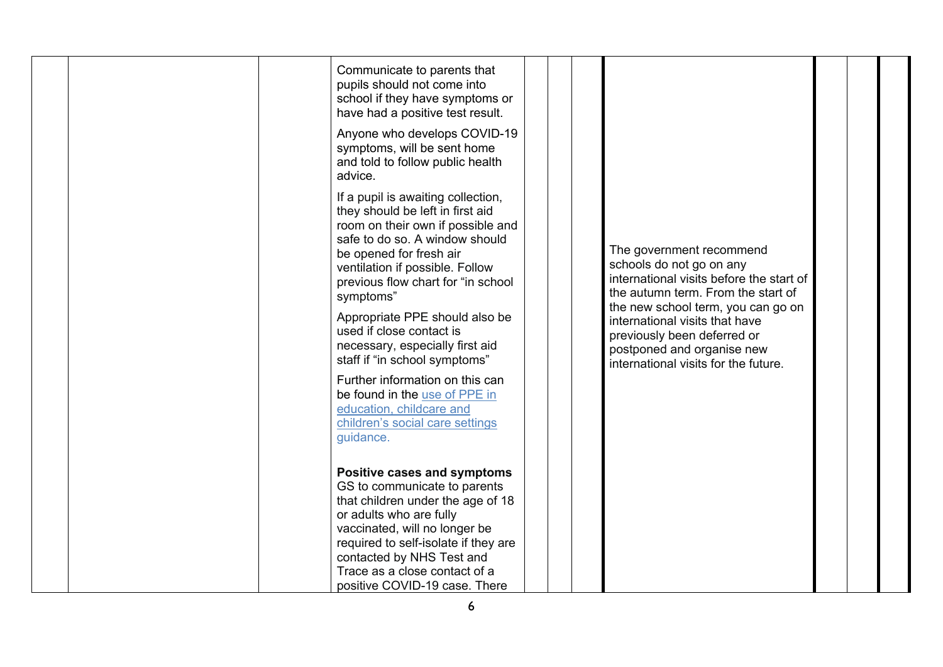|  | Communicate to parents that<br>pupils should not come into<br>school if they have symptoms or<br>have had a positive test result.<br>Anyone who develops COVID-19<br>symptoms, will be sent home<br>and told to follow public health<br>advice.                                                                                                                                                                                                                                                                                                  |                                                                                                                                                                                                                                                                                                                     |  |
|--|--------------------------------------------------------------------------------------------------------------------------------------------------------------------------------------------------------------------------------------------------------------------------------------------------------------------------------------------------------------------------------------------------------------------------------------------------------------------------------------------------------------------------------------------------|---------------------------------------------------------------------------------------------------------------------------------------------------------------------------------------------------------------------------------------------------------------------------------------------------------------------|--|
|  | If a pupil is awaiting collection,<br>they should be left in first aid<br>room on their own if possible and<br>safe to do so. A window should<br>be opened for fresh air<br>ventilation if possible. Follow<br>previous flow chart for "in school<br>symptoms"<br>Appropriate PPE should also be<br>used if close contact is<br>necessary, especially first aid<br>staff if "in school symptoms"<br>Further information on this can<br>be found in the use of PPE in<br>education, childcare and<br>children's social care settings<br>guidance. | The government recommend<br>schools do not go on any<br>international visits before the start of<br>the autumn term. From the start of<br>the new school term, you can go on<br>international visits that have<br>previously been deferred or<br>postponed and organise new<br>international visits for the future. |  |
|  | <b>Positive cases and symptoms</b><br>GS to communicate to parents<br>that children under the age of 18<br>or adults who are fully<br>vaccinated, will no longer be<br>required to self-isolate if they are<br>contacted by NHS Test and<br>Trace as a close contact of a<br>positive COVID-19 case. There                                                                                                                                                                                                                                       |                                                                                                                                                                                                                                                                                                                     |  |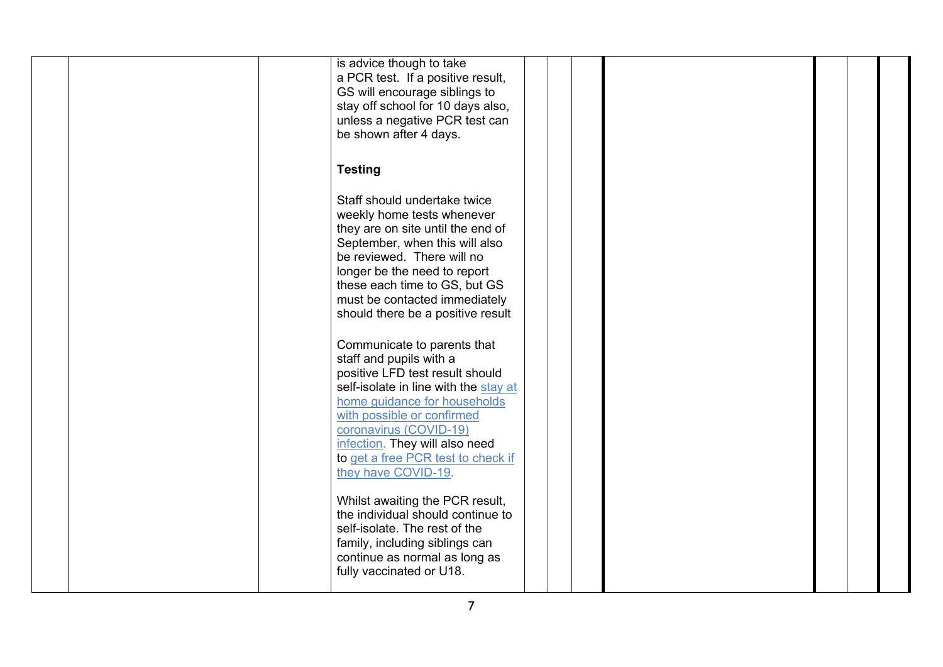| is advice though to take<br>a PCR test. If a positive result,<br>GS will encourage siblings to<br>stay off school for 10 days also,<br>unless a negative PCR test can<br>be shown after 4 days.                                                                                                        |
|--------------------------------------------------------------------------------------------------------------------------------------------------------------------------------------------------------------------------------------------------------------------------------------------------------|
| <b>Testing</b>                                                                                                                                                                                                                                                                                         |
| Staff should undertake twice<br>weekly home tests whenever<br>they are on site until the end of<br>September, when this will also<br>be reviewed. There will no<br>longer be the need to report<br>these each time to GS, but GS<br>must be contacted immediately<br>should there be a positive result |
| Communicate to parents that<br>staff and pupils with a                                                                                                                                                                                                                                                 |
| positive LFD test result should<br>self-isolate in line with the stay at                                                                                                                                                                                                                               |
| home guidance for households<br>with possible or confirmed<br>coronavirus (COVID-19)<br>infection. They will also need                                                                                                                                                                                 |
| to get a free PCR test to check if<br>they have COVID-19.                                                                                                                                                                                                                                              |
| Whilst awaiting the PCR result,<br>the individual should continue to<br>self-isolate. The rest of the<br>family, including siblings can<br>continue as normal as long as<br>fully vaccinated or U18.                                                                                                   |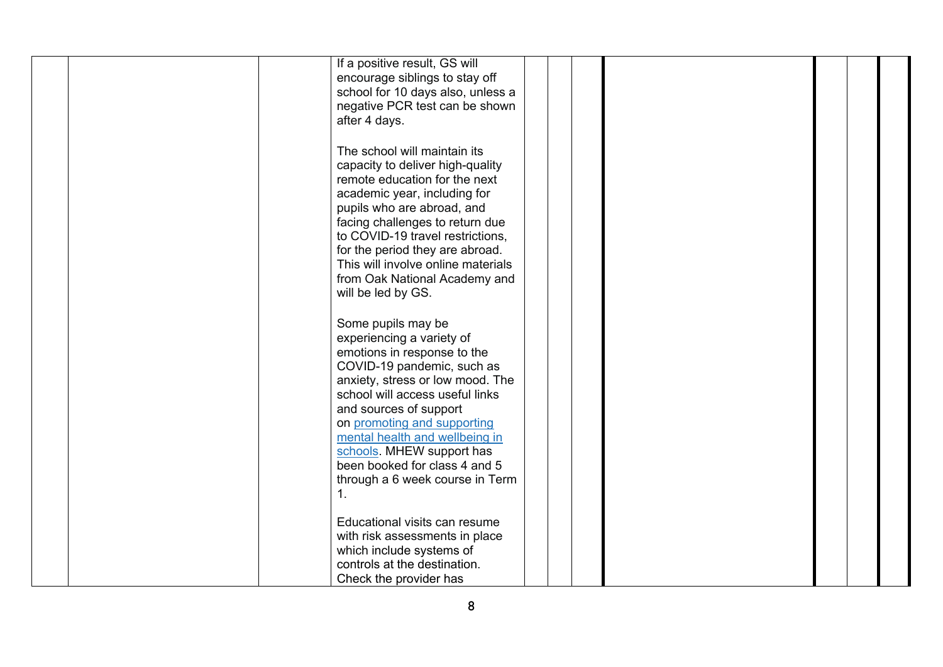| If a positive result, GS will      |
|------------------------------------|
| encourage siblings to stay off     |
|                                    |
| school for 10 days also, unless a  |
| negative PCR test can be shown     |
| after 4 days.                      |
|                                    |
|                                    |
| The school will maintain its       |
| capacity to deliver high-quality   |
|                                    |
| remote education for the next      |
| academic year, including for       |
| pupils who are abroad, and         |
|                                    |
| facing challenges to return due    |
| to COVID-19 travel restrictions,   |
| for the period they are abroad.    |
| This will involve online materials |
|                                    |
| from Oak National Academy and      |
| will be led by GS.                 |
|                                    |
|                                    |
| Some pupils may be                 |
| experiencing a variety of          |
| emotions in response to the        |
|                                    |
| COVID-19 pandemic, such as         |
| anxiety, stress or low mood. The   |
| school will access useful links    |
| and sources of support             |
|                                    |
| on promoting and supporting        |
| mental health and wellbeing in     |
| schools. MHEW support has          |
| been booked for class 4 and 5      |
|                                    |
| through a 6 week course in Term    |
| 1.                                 |
|                                    |
|                                    |
| Educational visits can resume      |
| with risk assessments in place     |
| which include systems of           |
| controls at the destination.       |
|                                    |
| Check the provider has             |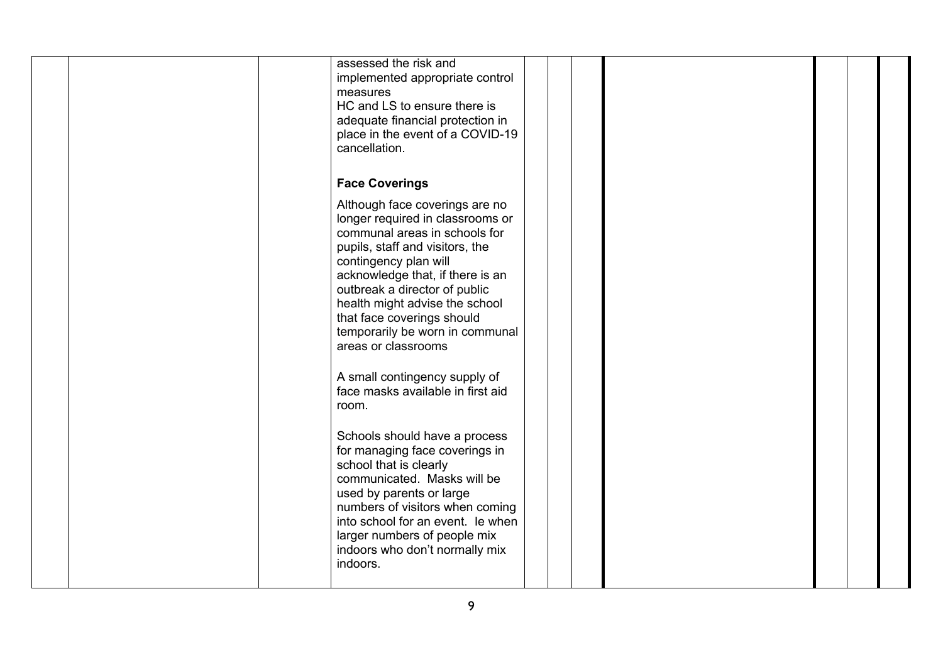| assessed the risk and<br>implemented appropriate control<br>measures<br>HC and LS to ensure there is<br>adequate financial protection in<br>place in the event of a COVID-19<br>cancellation.                                                                                                                                                                  |  |  |
|----------------------------------------------------------------------------------------------------------------------------------------------------------------------------------------------------------------------------------------------------------------------------------------------------------------------------------------------------------------|--|--|
| <b>Face Coverings</b>                                                                                                                                                                                                                                                                                                                                          |  |  |
| Although face coverings are no<br>longer required in classrooms or<br>communal areas in schools for<br>pupils, staff and visitors, the<br>contingency plan will<br>acknowledge that, if there is an<br>outbreak a director of public<br>health might advise the school<br>that face coverings should<br>temporarily be worn in communal<br>areas or classrooms |  |  |
| A small contingency supply of<br>face masks available in first aid<br>room.                                                                                                                                                                                                                                                                                    |  |  |
| Schools should have a process<br>for managing face coverings in<br>school that is clearly<br>communicated. Masks will be<br>used by parents or large<br>numbers of visitors when coming<br>into school for an event. Ie when<br>larger numbers of people mix<br>indoors who don't normally mix<br>indoors.                                                     |  |  |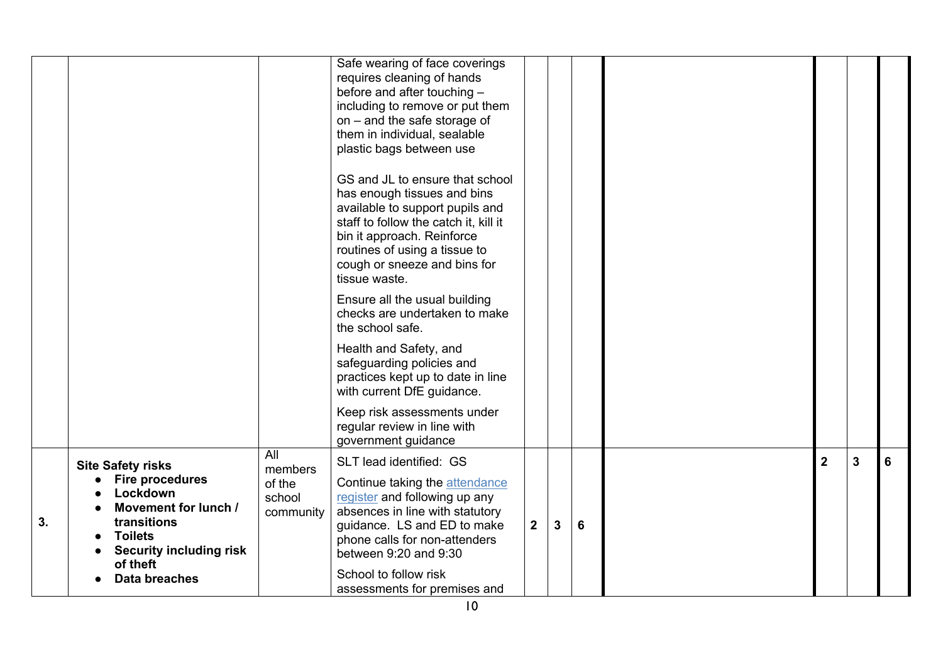|    |                                                                                                                                                                                               |                                                 | Safe wearing of face coverings<br>requires cleaning of hands<br>before and after touching -<br>including to remove or put them<br>on - and the safe storage of<br>them in individual, sealable<br>plastic bags between use<br>GS and JL to ensure that school<br>has enough tissues and bins<br>available to support pupils and<br>staff to follow the catch it, kill it<br>bin it approach. Reinforce<br>routines of using a tissue to<br>cough or sneeze and bins for<br>tissue waste.<br>Ensure all the usual building<br>checks are undertaken to make<br>the school safe.<br>Health and Safety, and<br>safeguarding policies and<br>practices kept up to date in line<br>with current DfE guidance. |             |              |   |                |   |   |
|----|-----------------------------------------------------------------------------------------------------------------------------------------------------------------------------------------------|-------------------------------------------------|----------------------------------------------------------------------------------------------------------------------------------------------------------------------------------------------------------------------------------------------------------------------------------------------------------------------------------------------------------------------------------------------------------------------------------------------------------------------------------------------------------------------------------------------------------------------------------------------------------------------------------------------------------------------------------------------------------|-------------|--------------|---|----------------|---|---|
|    |                                                                                                                                                                                               |                                                 | Keep risk assessments under<br>regular review in line with<br>government guidance                                                                                                                                                                                                                                                                                                                                                                                                                                                                                                                                                                                                                        |             |              |   |                |   |   |
| 3. | <b>Site Safety risks</b><br><b>Fire procedures</b><br>Lockdown<br>Movement for lunch /<br>transitions<br><b>Toilets</b><br><b>Security including risk</b><br>of theft<br><b>Data breaches</b> | All<br>members<br>of the<br>school<br>community | SLT lead identified: GS<br>Continue taking the attendance<br>register and following up any<br>absences in line with statutory<br>guidance. LS and ED to make<br>phone calls for non-attenders<br>between 9:20 and 9:30<br>School to follow risk<br>assessments for premises and                                                                                                                                                                                                                                                                                                                                                                                                                          | $2^{\circ}$ | $\mathbf{3}$ | 6 | $\overline{2}$ | 3 | 6 |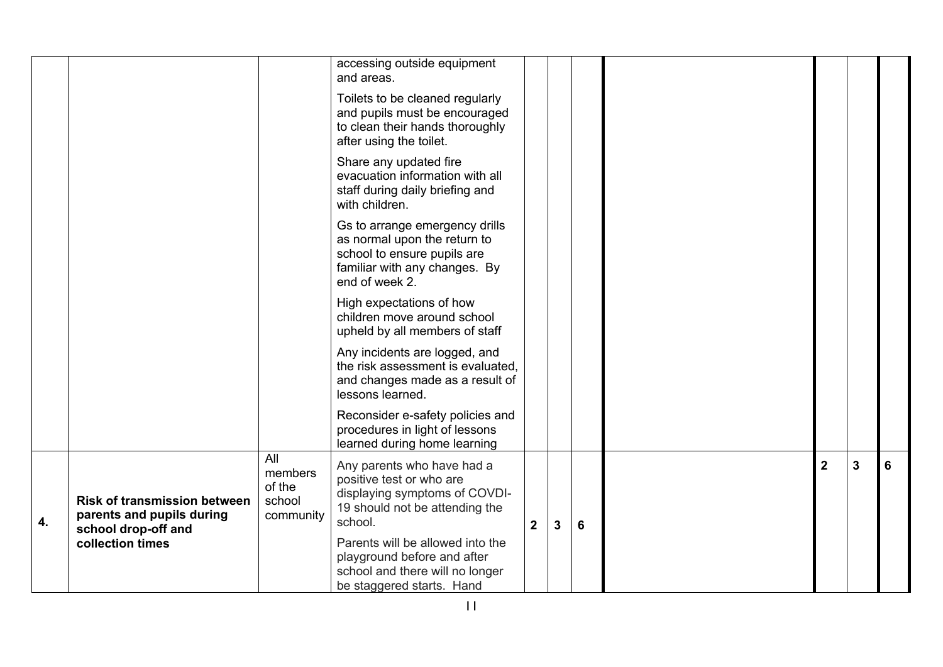|    |                                                                                         |                                                 | accessing outside equipment<br>and areas.                                                                                                        |                |              |                 |                         |   |   |
|----|-----------------------------------------------------------------------------------------|-------------------------------------------------|--------------------------------------------------------------------------------------------------------------------------------------------------|----------------|--------------|-----------------|-------------------------|---|---|
|    |                                                                                         |                                                 | Toilets to be cleaned regularly<br>and pupils must be encouraged<br>to clean their hands thoroughly<br>after using the toilet.                   |                |              |                 |                         |   |   |
|    |                                                                                         |                                                 | Share any updated fire<br>evacuation information with all<br>staff during daily briefing and<br>with children.                                   |                |              |                 |                         |   |   |
|    |                                                                                         |                                                 | Gs to arrange emergency drills<br>as normal upon the return to<br>school to ensure pupils are<br>familiar with any changes. By<br>end of week 2. |                |              |                 |                         |   |   |
|    |                                                                                         |                                                 | High expectations of how<br>children move around school<br>upheld by all members of staff                                                        |                |              |                 |                         |   |   |
|    |                                                                                         |                                                 | Any incidents are logged, and<br>the risk assessment is evaluated.<br>and changes made as a result of<br>lessons learned.                        |                |              |                 |                         |   |   |
|    |                                                                                         |                                                 | Reconsider e-safety policies and<br>procedures in light of lessons<br>learned during home learning                                               |                |              |                 |                         |   |   |
| 4. | <b>Risk of transmission between</b><br>parents and pupils during<br>school drop-off and | All<br>members<br>of the<br>school<br>community | Any parents who have had a<br>positive test or who are<br>displaying symptoms of COVDI-<br>19 should not be attending the<br>school.             | 2 <sup>1</sup> | $\mathbf{3}$ | $6\phantom{1}6$ | $\overline{\mathbf{2}}$ | 3 | 6 |
|    | collection times                                                                        |                                                 | Parents will be allowed into the<br>playground before and after<br>school and there will no longer<br>be staggered starts. Hand                  |                |              |                 |                         |   |   |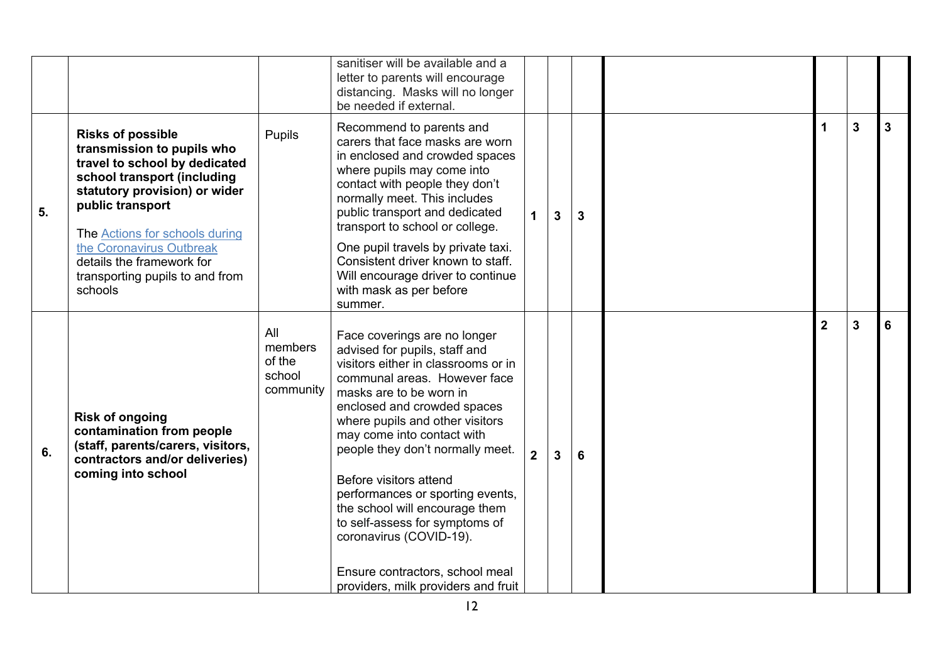|    |                                                                                                                                                                                                                                                                                                                      |                                                 | sanitiser will be available and a<br>letter to parents will encourage<br>distancing. Masks will no longer<br>be needed if external.                                                                                                                                                                                                                                                                                                                                                                                                        |                |                |                 |                |                |   |
|----|----------------------------------------------------------------------------------------------------------------------------------------------------------------------------------------------------------------------------------------------------------------------------------------------------------------------|-------------------------------------------------|--------------------------------------------------------------------------------------------------------------------------------------------------------------------------------------------------------------------------------------------------------------------------------------------------------------------------------------------------------------------------------------------------------------------------------------------------------------------------------------------------------------------------------------------|----------------|----------------|-----------------|----------------|----------------|---|
| 5. | <b>Risks of possible</b><br>transmission to pupils who<br>travel to school by dedicated<br>school transport (including<br>statutory provision) or wider<br>public transport<br>The Actions for schools during<br>the Coronavirus Outbreak<br>details the framework for<br>transporting pupils to and from<br>schools | Pupils                                          | Recommend to parents and<br>carers that face masks are worn<br>in enclosed and crowded spaces<br>where pupils may come into<br>contact with people they don't<br>normally meet. This includes<br>public transport and dedicated<br>transport to school or college.<br>One pupil travels by private taxi.<br>Consistent driver known to staff.<br>Will encourage driver to continue<br>with mask as per before<br>summer.                                                                                                                   | $\mathbf 1$    | $\overline{3}$ | $\overline{3}$  |                | $\overline{3}$ | 3 |
| 6. | <b>Risk of ongoing</b><br>contamination from people<br>(staff, parents/carers, visitors,<br>contractors and/or deliveries)<br>coming into school                                                                                                                                                                     | All<br>members<br>of the<br>school<br>community | Face coverings are no longer<br>advised for pupils, staff and<br>visitors either in classrooms or in<br>communal areas. However face<br>masks are to be worn in<br>enclosed and crowded spaces<br>where pupils and other visitors<br>may come into contact with<br>people they don't normally meet.<br>Before visitors attend<br>performances or sporting events,<br>the school will encourage them<br>to self-assess for symptoms of<br>coronavirus (COVID-19).<br>Ensure contractors, school meal<br>providers, milk providers and fruit | 2 <sup>1</sup> | $\overline{3}$ | $6\phantom{1}6$ | $\overline{2}$ | $\overline{3}$ | 6 |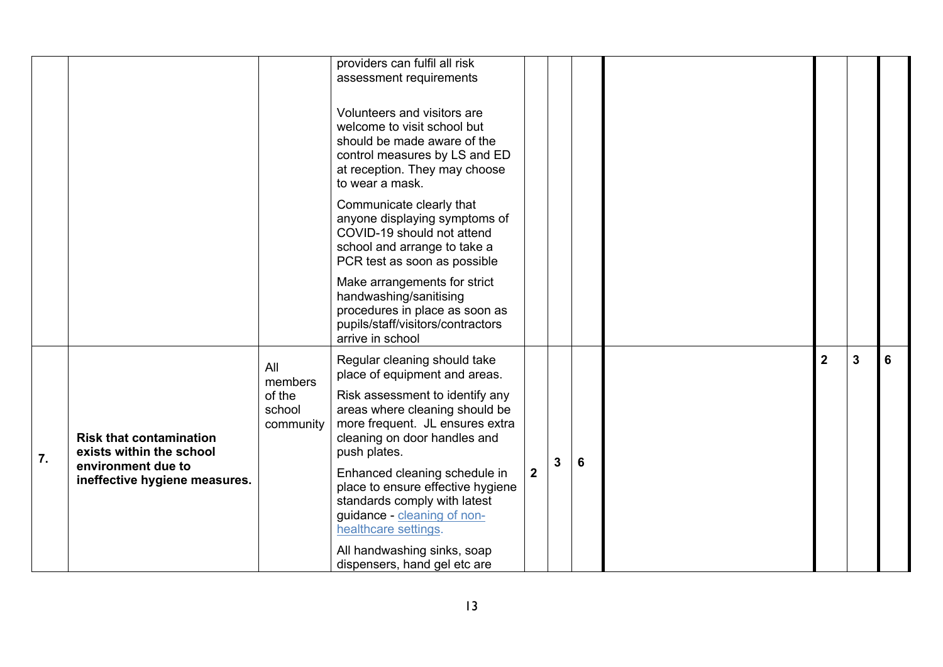|    |                                                            |                          | providers can fulfil all risk<br>assessment requirements                                                                                                                       |                |   |   |                |   |   |
|----|------------------------------------------------------------|--------------------------|--------------------------------------------------------------------------------------------------------------------------------------------------------------------------------|----------------|---|---|----------------|---|---|
|    |                                                            |                          | Volunteers and visitors are<br>welcome to visit school but<br>should be made aware of the<br>control measures by LS and ED<br>at reception. They may choose<br>to wear a mask. |                |   |   |                |   |   |
|    |                                                            |                          | Communicate clearly that<br>anyone displaying symptoms of<br>COVID-19 should not attend<br>school and arrange to take a<br>PCR test as soon as possible                        |                |   |   |                |   |   |
|    |                                                            |                          | Make arrangements for strict<br>handwashing/sanitising<br>procedures in place as soon as<br>pupils/staff/visitors/contractors<br>arrive in school                              |                |   |   |                |   |   |
|    |                                                            | All<br>members<br>of the | Regular cleaning should take<br>place of equipment and areas.<br>Risk assessment to identify any                                                                               |                |   |   | $\overline{2}$ | 3 | 6 |
| 7. | <b>Risk that contamination</b><br>exists within the school | school<br>community      | areas where cleaning should be<br>more frequent. JL ensures extra<br>cleaning on door handles and<br>push plates.                                                              |                |   | 6 |                |   |   |
|    | environment due to<br>ineffective hygiene measures.        |                          | Enhanced cleaning schedule in<br>place to ensure effective hygiene<br>standards comply with latest<br>guidance - cleaning of non-<br>healthcare settings.                      | 2 <sup>1</sup> | 3 |   |                |   |   |
|    |                                                            |                          | All handwashing sinks, soap<br>dispensers, hand gel etc are                                                                                                                    |                |   |   |                |   |   |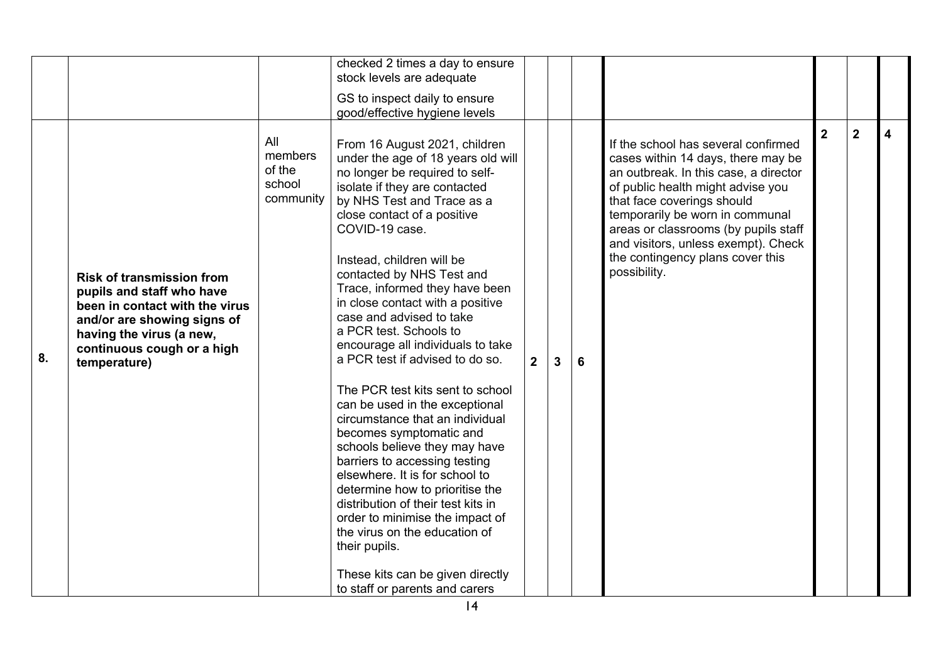| $\overline{2}$<br>$\overline{2}$<br>All<br>From 16 August 2021, children<br>If the school has several confirmed<br>members<br>under the age of 18 years old will<br>cases within 14 days, there may be<br>of the<br>no longer be required to self-<br>an outbreak. In this case, a director<br>school<br>isolate if they are contacted<br>of public health might advise you<br>community<br>by NHS Test and Trace as a<br>that face coverings should<br>close contact of a positive<br>temporarily be worn in communal<br>COVID-19 case.<br>areas or classrooms (by pupils staff<br>and visitors, unless exempt). Check<br>the contingency plans cover this<br>Instead, children will be<br>possibility.<br>contacted by NHS Test and<br><b>Risk of transmission from</b><br>Trace, informed they have been<br>pupils and staff who have<br>in close contact with a positive<br>been in contact with the virus<br>case and advised to take<br>and/or are showing signs of<br>a PCR test. Schools to<br>having the virus (a new,<br>encourage all individuals to take<br>continuous cough or a high<br>8.<br>a PCR test if advised to do so.<br>2 <sup>1</sup><br>3<br>6<br>temperature)<br>The PCR test kits sent to school<br>can be used in the exceptional<br>circumstance that an individual<br>becomes symptomatic and<br>schools believe they may have<br>barriers to accessing testing<br>elsewhere. It is for school to<br>determine how to prioritise the |  | checked 2 times a day to ensure<br>stock levels are adequate<br>GS to inspect daily to ensure<br>good/effective hygiene levels |  |  |  |   |
|--------------------------------------------------------------------------------------------------------------------------------------------------------------------------------------------------------------------------------------------------------------------------------------------------------------------------------------------------------------------------------------------------------------------------------------------------------------------------------------------------------------------------------------------------------------------------------------------------------------------------------------------------------------------------------------------------------------------------------------------------------------------------------------------------------------------------------------------------------------------------------------------------------------------------------------------------------------------------------------------------------------------------------------------------------------------------------------------------------------------------------------------------------------------------------------------------------------------------------------------------------------------------------------------------------------------------------------------------------------------------------------------------------------------------------------------------------------------|--|--------------------------------------------------------------------------------------------------------------------------------|--|--|--|---|
| order to minimise the impact of<br>the virus on the education of<br>their pupils.<br>These kits can be given directly<br>to staff or parents and carers                                                                                                                                                                                                                                                                                                                                                                                                                                                                                                                                                                                                                                                                                                                                                                                                                                                                                                                                                                                                                                                                                                                                                                                                                                                                                                            |  | distribution of their test kits in                                                                                             |  |  |  | 4 |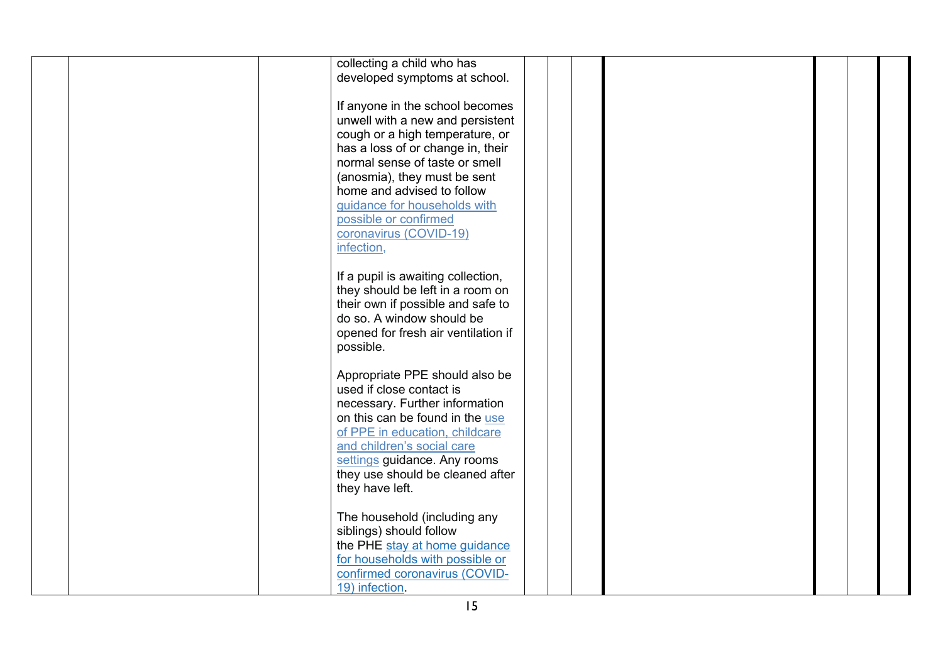| collecting a child who has<br>developed symptoms at school.                                                                                                                                                                                                                                                                                  |  |
|----------------------------------------------------------------------------------------------------------------------------------------------------------------------------------------------------------------------------------------------------------------------------------------------------------------------------------------------|--|
| If anyone in the school becomes<br>unwell with a new and persistent<br>cough or a high temperature, or<br>has a loss of or change in, their<br>normal sense of taste or smell<br>(anosmia), they must be sent<br>home and advised to follow<br>guidance for households with<br>possible or confirmed<br>coronavirus (COVID-19)<br>infection, |  |
| If a pupil is awaiting collection,<br>they should be left in a room on<br>their own if possible and safe to<br>do so. A window should be<br>opened for fresh air ventilation if<br>possible.                                                                                                                                                 |  |
| Appropriate PPE should also be<br>used if close contact is<br>necessary. Further information<br>on this can be found in the use<br>of PPE in education, childcare<br>and children's social care<br>settings guidance. Any rooms<br>they use should be cleaned after<br>they have left.                                                       |  |
| The household (including any<br>siblings) should follow<br>the PHE stay at home guidance<br>for households with possible or<br>confirmed coronavirus (COVID-<br>19) infection.                                                                                                                                                               |  |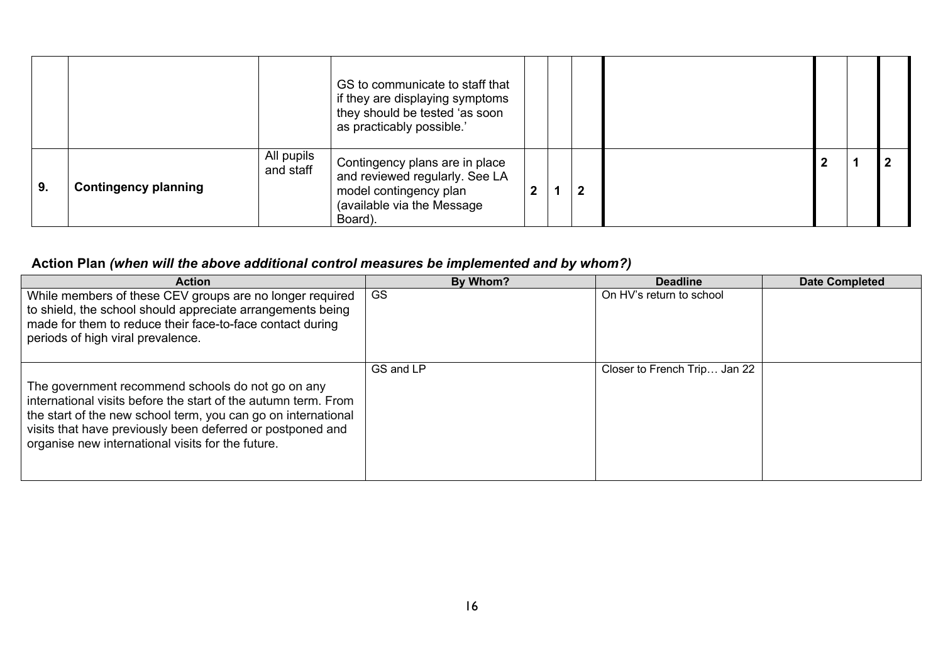|    |                             |                         | GS to communicate to staff that<br>if they are displaying symptoms<br>they should be tested 'as soon<br>as practicably possible.'   |  |  |  |  |
|----|-----------------------------|-------------------------|-------------------------------------------------------------------------------------------------------------------------------------|--|--|--|--|
| 9. | <b>Contingency planning</b> | All pupils<br>and staff | Contingency plans are in place<br>and reviewed regularly. See LA<br>model contingency plan<br>(available via the Message<br>Board). |  |  |  |  |

## **Action Plan** *(when will the above additional control measures be implemented and by whom?)*

| <b>Action</b>                                                                                                                                                                                                                                                                                           | By Whom?  | <b>Deadline</b>              | <b>Date Completed</b> |
|---------------------------------------------------------------------------------------------------------------------------------------------------------------------------------------------------------------------------------------------------------------------------------------------------------|-----------|------------------------------|-----------------------|
| While members of these CEV groups are no longer required<br>to shield, the school should appreciate arrangements being<br>made for them to reduce their face-to-face contact during<br>periods of high viral prevalence.                                                                                | GS        | On HV's return to school     |                       |
| The government recommend schools do not go on any<br>international visits before the start of the autumn term. From<br>the start of the new school term, you can go on international<br>visits that have previously been deferred or postponed and<br>organise new international visits for the future. | GS and LP | Closer to French Trip Jan 22 |                       |